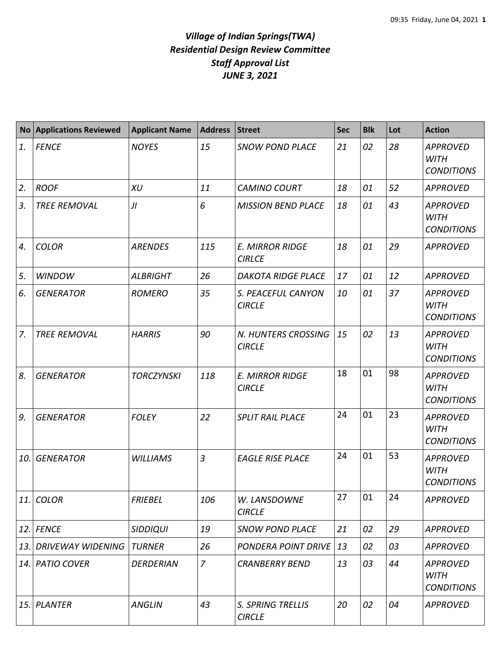## *Village of Indian Springs(TWA) Residential Design Review Committee Staff Approval List JUNE 3, 2021*

|     | No Applications Reviewed | <b>Applicant Name</b> | <b>Address</b> | <b>Street</b>                           | <b>Sec</b> | <b>Blk</b> | Lot | <b>Action</b>                                       |
|-----|--------------------------|-----------------------|----------------|-----------------------------------------|------------|------------|-----|-----------------------------------------------------|
| 1.  | <b>FENCE</b>             | <b>NOYES</b>          | 15             | <b>SNOW POND PLACE</b>                  | 21         | 02         | 28  | <b>APPROVED</b><br><b>WITH</b><br><b>CONDITIONS</b> |
| 2.  | <b>ROOF</b>              | <b>XU</b>             | 11             | <b>CAMINO COURT</b>                     | 18         | 01         | 52  | <b>APPROVED</b>                                     |
| 3.  | <b>TREE REMOVAL</b>      | JI                    | 6              | <b>MISSION BEND PLACE</b>               | 18         | 01         | 43  | <b>APPROVED</b><br><b>WITH</b><br><b>CONDITIONS</b> |
| 4.  | <b>COLOR</b>             | <b>ARENDES</b>        | 115            | <b>E. MIRROR RIDGE</b><br><b>CIRLCE</b> | 18         | 01         | 29  | <b>APPROVED</b>                                     |
| 5.  | <b>WINDOW</b>            | <b>ALBRIGHT</b>       | 26             | <b>DAKOTA RIDGE PLACE</b>               | 17         | 01         | 12  | <b>APPROVED</b>                                     |
| 6.  | <b>GENERATOR</b>         | <b>ROMERO</b>         | 35             | S. PEACEFUL CANYON<br><b>CIRCLE</b>     | 10         | 01         | 37  | <b>APPROVED</b><br><b>WITH</b><br><b>CONDITIONS</b> |
| 7.  | <b>TREE REMOVAL</b>      | <b>HARRIS</b>         | 90             | N. HUNTERS CROSSING<br><b>CIRCLE</b>    | 15         | 02         | 13  | <b>APPROVED</b><br><b>WITH</b><br><b>CONDITIONS</b> |
| 8.  | <b>GENERATOR</b>         | <b>TORCZYNSKI</b>     | 118            | <b>E. MIRROR RIDGE</b><br><b>CIRCLE</b> | 18         | 01         | 98  | <b>APPROVED</b><br><b>WITH</b><br><b>CONDITIONS</b> |
| 9.  | <b>GENERATOR</b>         | <b>FOLEY</b>          | 22             | <b>SPLIT RAIL PLACE</b>                 | 24         | 01         | 23  | <b>APPROVED</b><br><b>WITH</b><br><b>CONDITIONS</b> |
| 10. | <b>GENERATOR</b>         | <b>WILLIAMS</b>       | $\overline{3}$ | <b>EAGLE RISE PLACE</b>                 | 24         | 01         | 53  | <b>APPROVED</b><br><b>WITH</b><br><b>CONDITIONS</b> |
| 11. | <b>COLOR</b>             | <b>FRIEBEL</b>        | 106            | W. LANSDOWNE<br><b>CIRCLE</b>           | 27         | 01         | 24  | <b>APPROVED</b>                                     |
| 12. | <b>FENCE</b>             | <b>SIDDIQUI</b>       | 19             | <b>SNOW POND PLACE</b>                  | 21         | 02         | 29  | <b>APPROVED</b>                                     |
| 13. | <b>DRIVEWAY WIDENING</b> | <b>TURNER</b>         | 26             | <b>PONDERA POINT DRIVE</b>              | 13         | 02         | 03  | <b>APPROVED</b>                                     |
| 14. | PATIO COVER              | <b>DERDERIAN</b>      | $\overline{z}$ | <b>CRANBERRY BEND</b>                   | 13         | 03         | 44  | <b>APPROVED</b><br><b>WITH</b><br><b>CONDITIONS</b> |
| 15. | <b>PLANTER</b>           | <b>ANGLIN</b>         | 43             | S. SPRING TRELLIS<br><b>CIRCLE</b>      | 20         | 02         | 04  | <b>APPROVED</b>                                     |